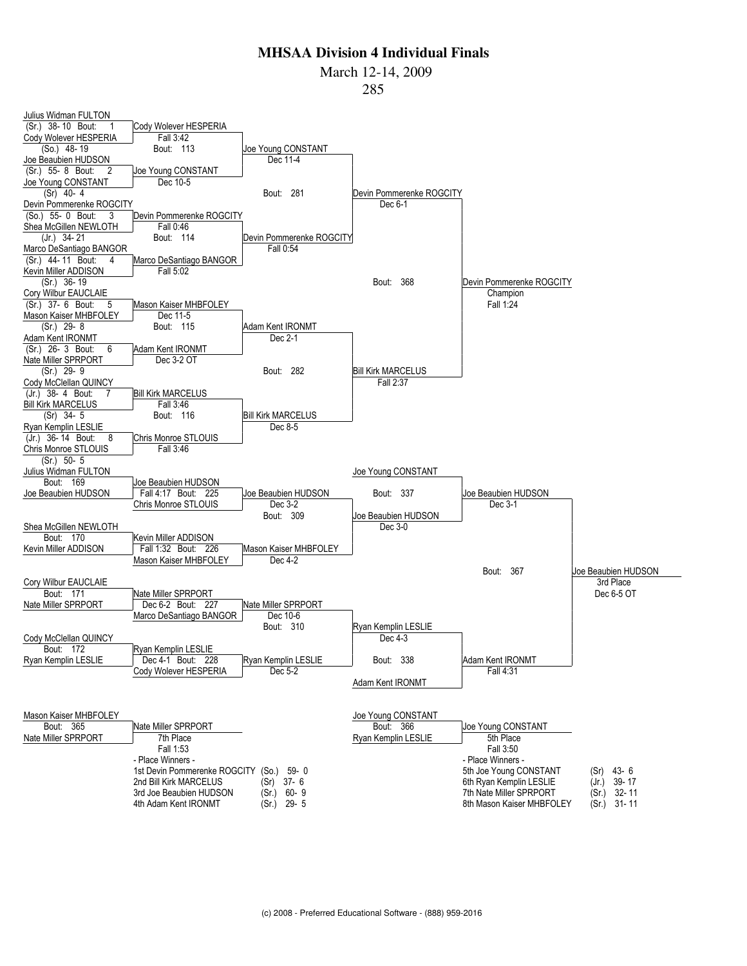March 12-14, 2009

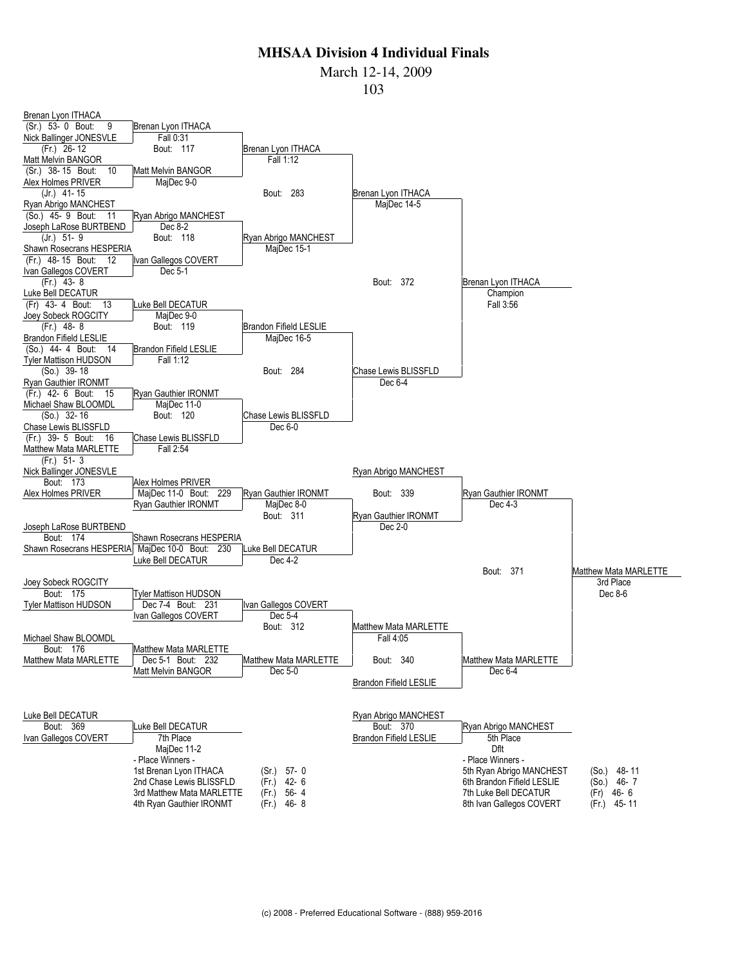March 12-14, 2009

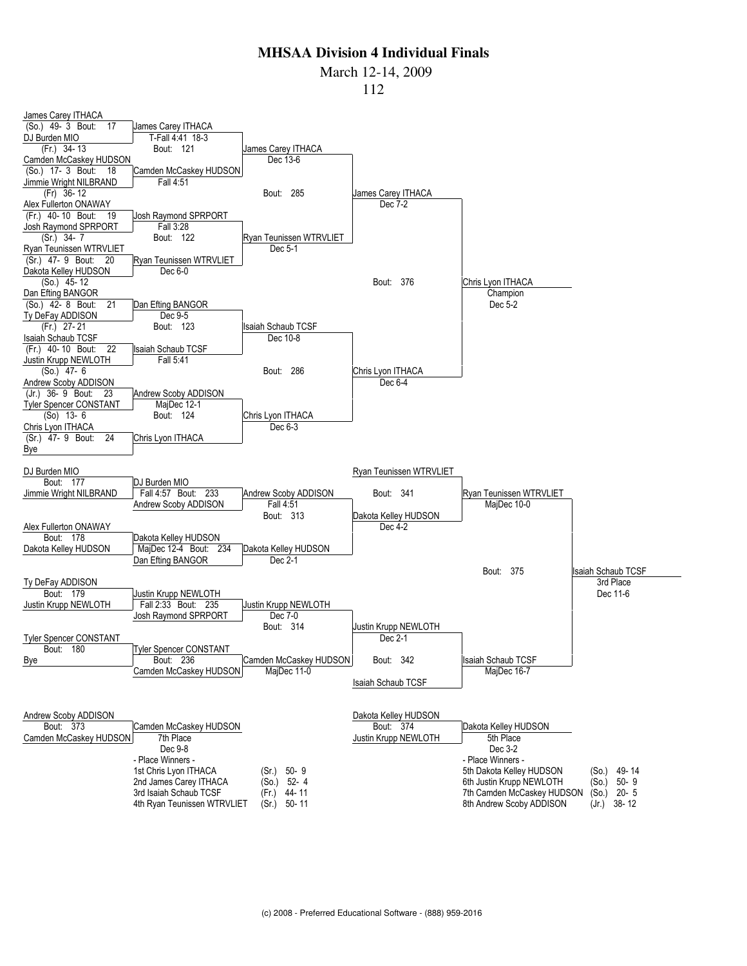March 12-14, 2009

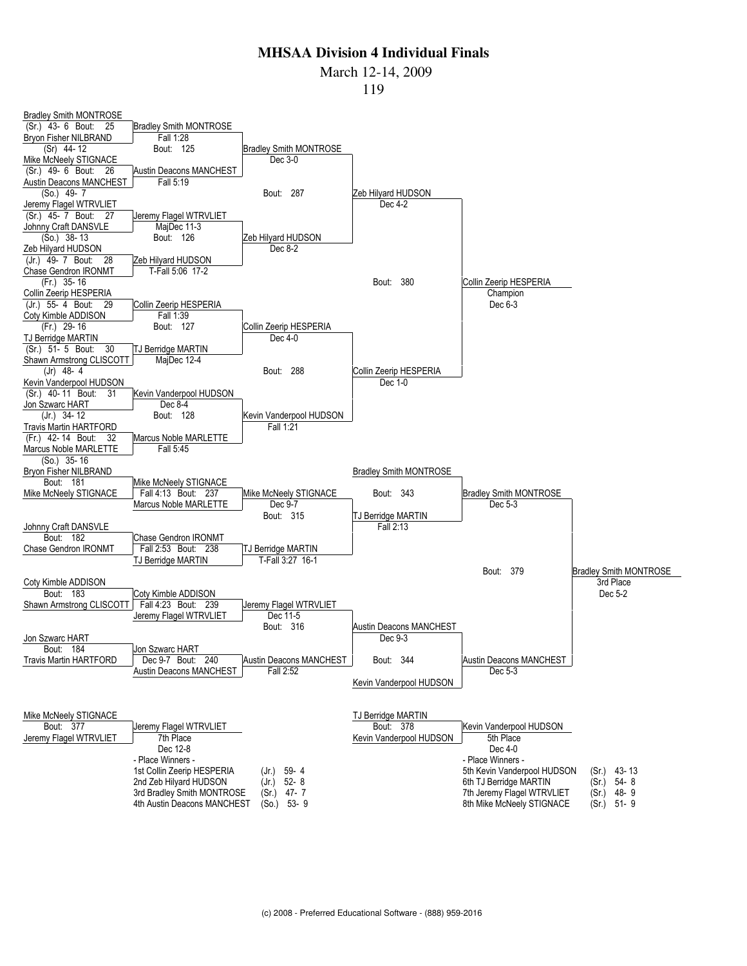March 12-14, 2009

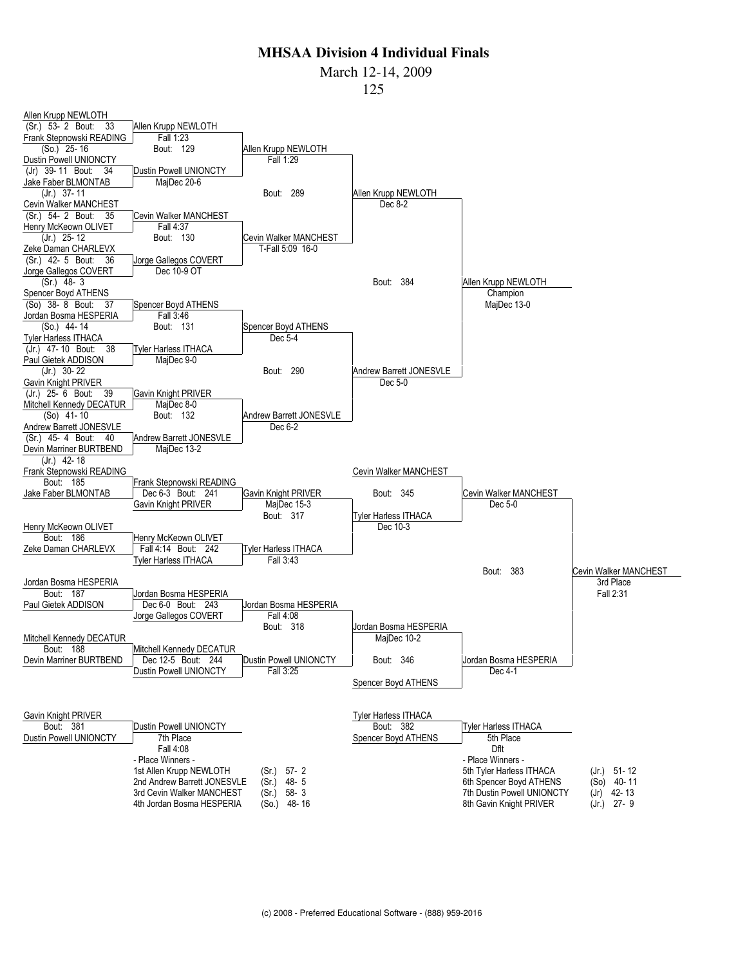March 12-14, 2009

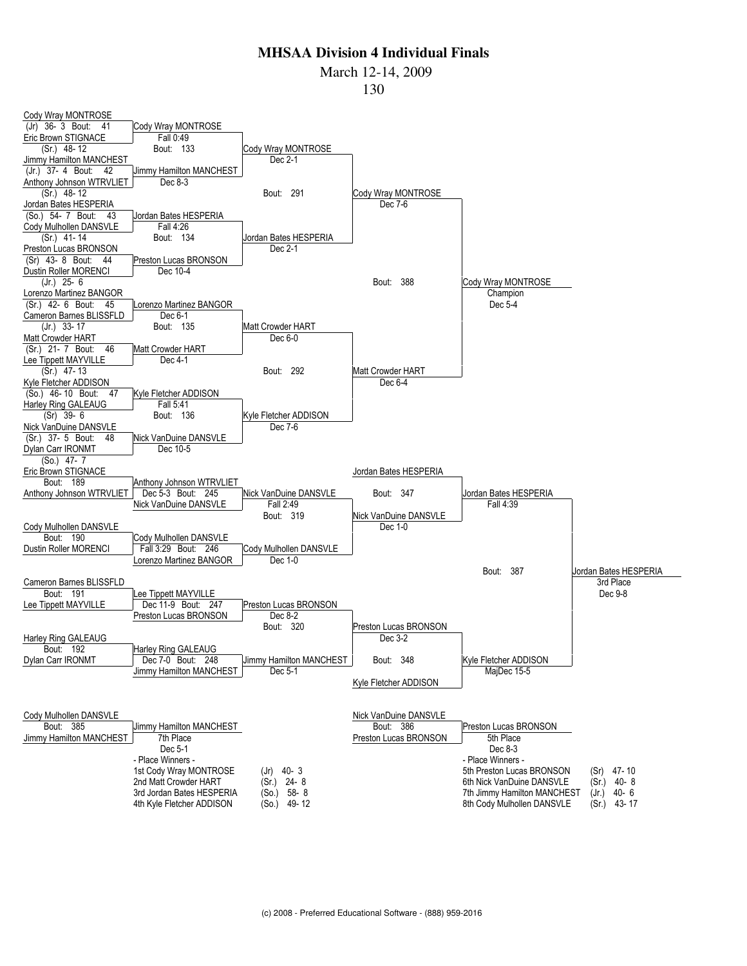March 12-14, 2009

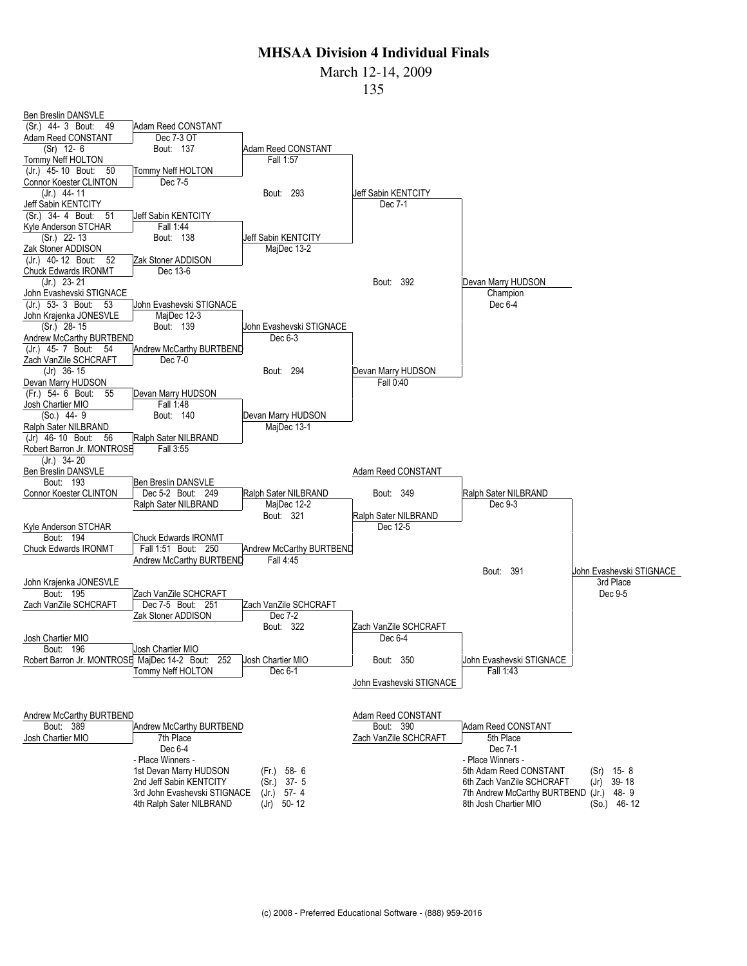March 12-14, 2009

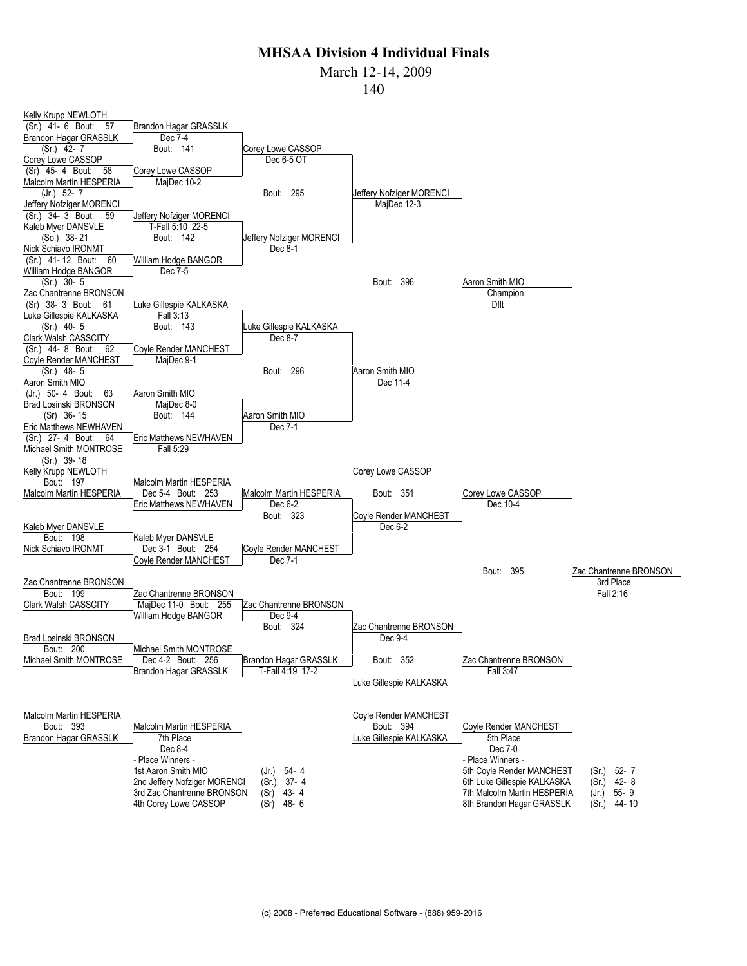March 12-14, 2009

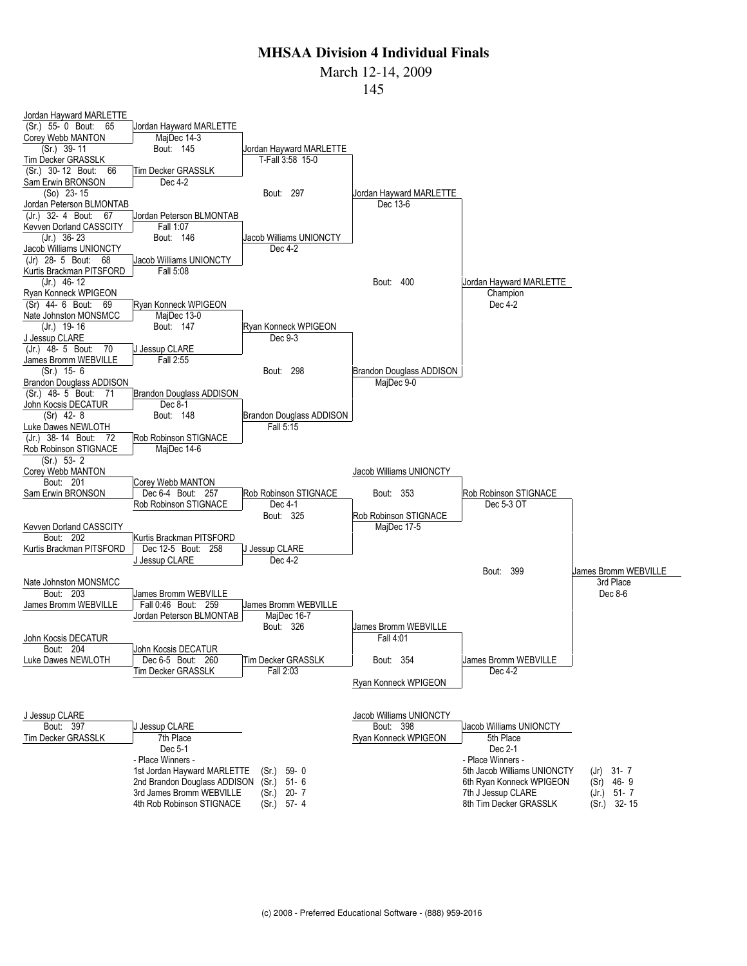March 12-14, 2009

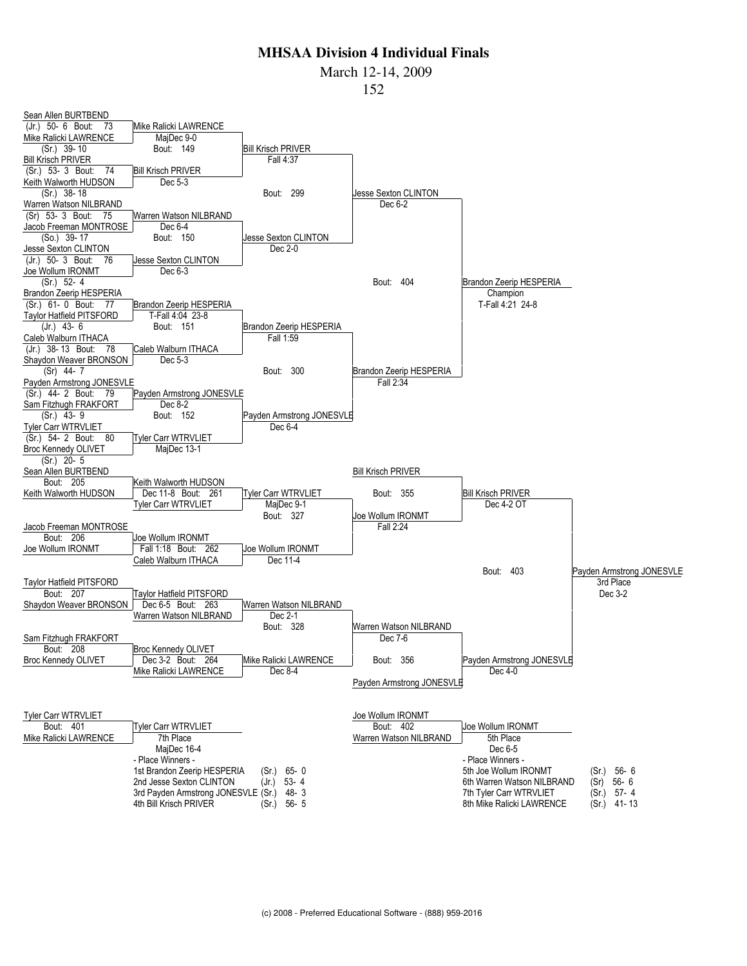March 12-14, 2009

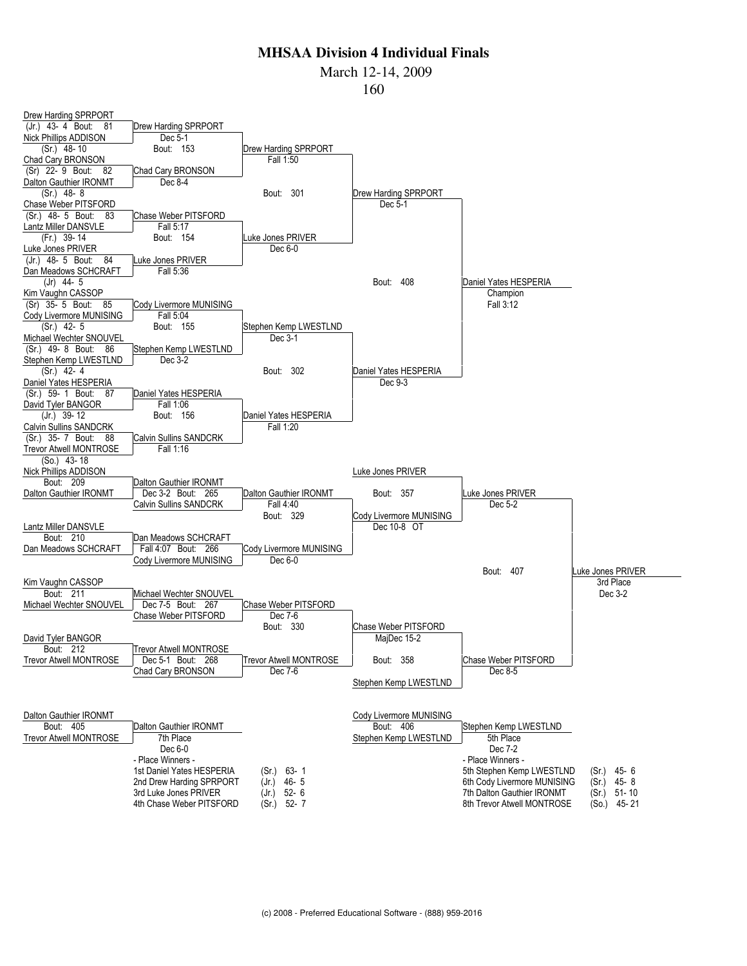March 12-14, 2009

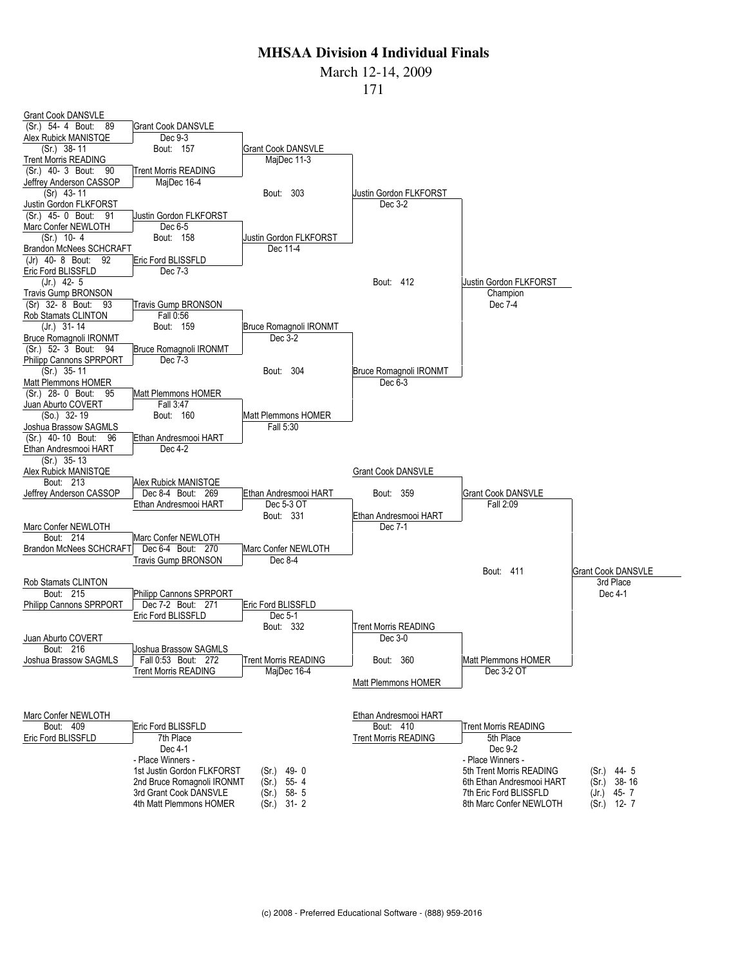#### March 12-14, 2009

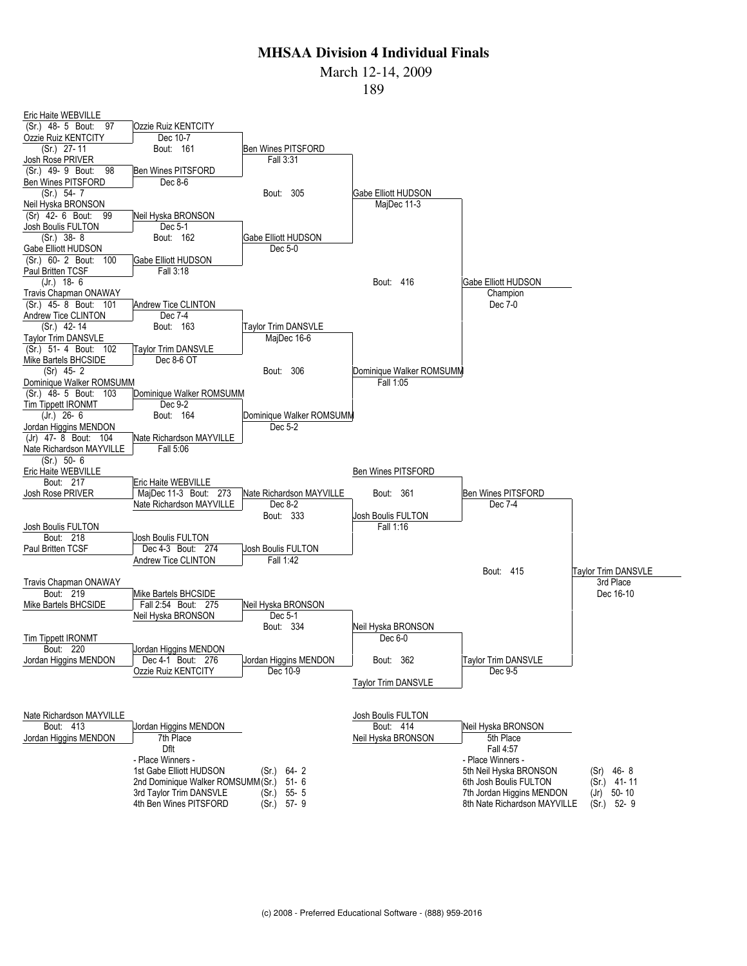March 12-14, 2009